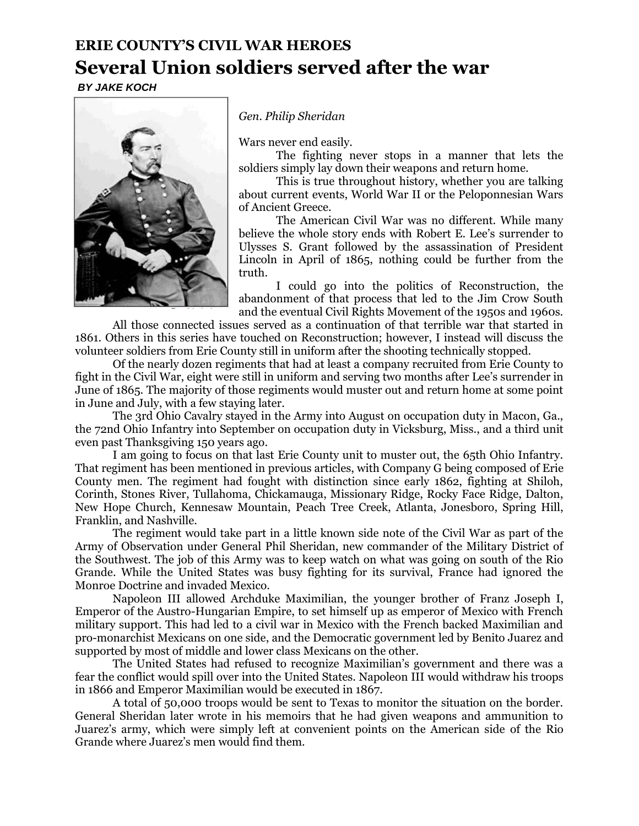## **ERIE COUNTY'S CIVIL WAR HEROES Several Union soldiers served after the war**

*BY JAKE KOCH*



*Gen. Philip Sheridan*

Wars never end easily.

The fighting never stops in a manner that lets the soldiers simply lay down their weapons and return home.

This is true throughout history, whether you are talking about current events, World War II or the Peloponnesian Wars of Ancient Greece.

The American Civil War was no different. While many believe the whole story ends with Robert E. Lee's surrender to Ulysses S. Grant followed by the assassination of President Lincoln in April of 1865, nothing could be further from the truth.

I could go into the politics of Reconstruction, the abandonment of that process that led to the Jim Crow South and the eventual Civil Rights Movement of the 1950s and 1960s.

All those connected issues served as a continuation of that terrible war that started in 1861. Others in this series have touched on Reconstruction; however, I instead will discuss the volunteer soldiers from Erie County still in uniform after the shooting technically stopped.

Of the nearly dozen regiments that had at least a company recruited from Erie County to fight in the Civil War, eight were still in uniform and serving two months after Lee's surrender in June of 1865. The majority of those regiments would muster out and return home at some point in June and July, with a few staying later.

The 3rd Ohio Cavalry stayed in the Army into August on occupation duty in Macon, Ga., the 72nd Ohio Infantry into September on occupation duty in Vicksburg, Miss., and a third unit even past Thanksgiving 150 years ago.

I am going to focus on that last Erie County unit to muster out, the 65th Ohio Infantry. That regiment has been mentioned in previous articles, with Company G being composed of Erie County men. The regiment had fought with distinction since early 1862, fighting at Shiloh, Corinth, Stones River, Tullahoma, Chickamauga, Missionary Ridge, Rocky Face Ridge, Dalton, New Hope Church, Kennesaw Mountain, Peach Tree Creek, Atlanta, Jonesboro, Spring Hill, Franklin, and Nashville.

The regiment would take part in a little known side note of the Civil War as part of the Army of Observation under General Phil Sheridan, new commander of the Military District of the Southwest. The job of this Army was to keep watch on what was going on south of the Rio Grande. While the United States was busy fighting for its survival, France had ignored the Monroe Doctrine and invaded Mexico.

Napoleon III allowed Archduke Maximilian, the younger brother of Franz Joseph I, Emperor of the Austro-Hungarian Empire, to set himself up as emperor of Mexico with French military support. This had led to a civil war in Mexico with the French backed Maximilian and pro-monarchist Mexicans on one side, and the Democratic government led by Benito Juarez and supported by most of middle and lower class Mexicans on the other.

The United States had refused to recognize Maximilian's government and there was a fear the conflict would spill over into the United States. Napoleon III would withdraw his troops in 1866 and Emperor Maximilian would be executed in 1867.

A total of 50,000 troops would be sent to Texas to monitor the situation on the border. General Sheridan later wrote in his memoirs that he had given weapons and ammunition to Juarez's army, which were simply left at convenient points on the American side of the Rio Grande where Juarez's men would find them.